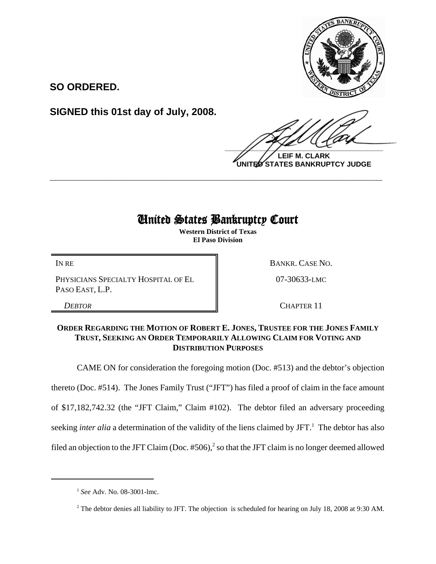

**SO ORDERED.**

**SIGNED this 01st day of July, 2008.**

 $\frac{1}{2}$ 

**LEIF M. CLARK UNITED STATES BANKRUPTCY JUDGE**

## United States Bankruptcy Court

**\_\_\_\_\_\_\_\_\_\_\_\_\_\_\_\_\_\_\_\_\_\_\_\_\_\_\_\_\_\_\_\_\_\_\_\_\_\_\_\_\_\_\_\_\_\_\_\_\_\_\_\_\_\_\_\_\_\_\_\_**

**Western District of Texas El Paso Division**

PHYSICIANS SPECIALTY HOSPITAL OF EL PASO EAST, L.P.

IN RE BANKR. CASE NO.

07-30633-LMC

**DEBTOR** CHAPTER 11

## **ORDER REGARDING THE MOTION OF ROBERT E. JONES, TRUSTEE FOR THE JONES FAMILY TRUST, SEEKING AN ORDER TEMPORARILY ALLOWING CLAIM FOR VOTING AND DISTRIBUTION PURPOSES**

CAME ON for consideration the foregoing motion (Doc. #513) and the debtor's objection thereto (Doc. #514). The Jones Family Trust ("JFT") has filed a proof of claim in the face amount of \$17,182,742.32 (the "JFT Claim," Claim #102). The debtor filed an adversary proceeding seeking *inter alia* a determination of the validity of the liens claimed by JFT.<sup>1</sup> The debtor has also filed an objection to the JFT Claim (Doc.  $#506$ ),<sup>2</sup> so that the JFT claim is no longer deemed allowed

<sup>1</sup> *See* Adv. No. 08-3001-lmc.

<sup>&</sup>lt;sup>2</sup> The debtor denies all liability to JFT. The objection is scheduled for hearing on July 18, 2008 at 9:30 AM.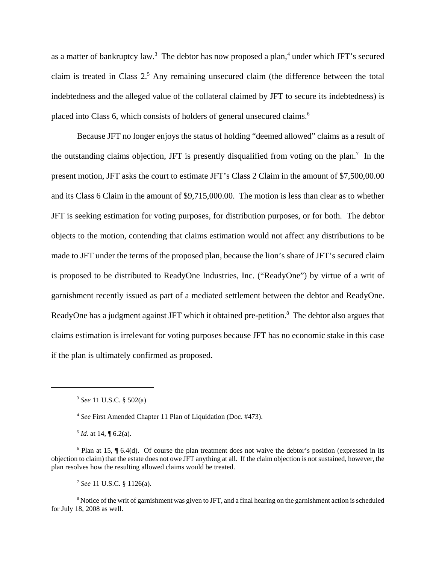as a matter of bankruptcy law.<sup>3</sup> The debtor has now proposed a plan,<sup>4</sup> under which JFT's secured claim is treated in Class  $2<sup>5</sup>$  Any remaining unsecured claim (the difference between the total indebtedness and the alleged value of the collateral claimed by JFT to secure its indebtedness) is placed into Class 6, which consists of holders of general unsecured claims.<sup>6</sup>

Because JFT no longer enjoys the status of holding "deemed allowed" claims as a result of the outstanding claims objection, JFT is presently disqualified from voting on the plan.<sup>7</sup> In the present motion, JFT asks the court to estimate JFT's Class 2 Claim in the amount of \$7,500,00.00 and its Class 6 Claim in the amount of \$9,715,000.00. The motion is less than clear as to whether JFT is seeking estimation for voting purposes, for distribution purposes, or for both. The debtor objects to the motion, contending that claims estimation would not affect any distributions to be made to JFT under the terms of the proposed plan, because the lion's share of JFT's secured claim is proposed to be distributed to ReadyOne Industries, Inc. ("ReadyOne") by virtue of a writ of garnishment recently issued as part of a mediated settlement between the debtor and ReadyOne. ReadyOne has a judgment against JFT which it obtained pre-petition.<sup>8</sup> The debtor also argues that claims estimation is irrelevant for voting purposes because JFT has no economic stake in this case if the plan is ultimately confirmed as proposed.

<sup>7</sup> *See* 11 U.S.C. § 1126(a).

 $8$  Notice of the writ of garnishment was given to JFT, and a final hearing on the garnishment action is scheduled for July 18, 2008 as well.

<sup>3</sup> *See* 11 U.S.C. § 502(a)

<sup>4</sup> *See* First Amended Chapter 11 Plan of Liquidation (Doc. #473).

 $<sup>5</sup>$  *Id.* at 14,  $\sqrt{ }$  6.2(a).</sup>

<sup>&</sup>lt;sup>6</sup> Plan at 15, ¶ 6.4(d). Of course the plan treatment does not waive the debtor's position (expressed in its objection to claim) that the estate does not owe JFT anything at all. If the claim objection is not sustained, however, the plan resolves how the resulting allowed claims would be treated.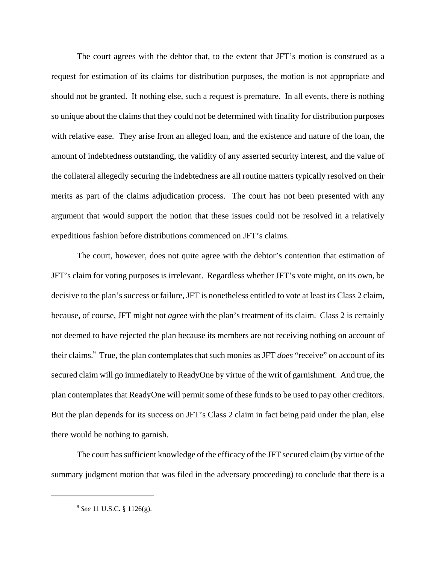The court agrees with the debtor that, to the extent that JFT's motion is construed as a request for estimation of its claims for distribution purposes, the motion is not appropriate and should not be granted. If nothing else, such a request is premature. In all events, there is nothing so unique about the claims that they could not be determined with finality for distribution purposes with relative ease. They arise from an alleged loan, and the existence and nature of the loan, the amount of indebtedness outstanding, the validity of any asserted security interest, and the value of the collateral allegedly securing the indebtedness are all routine matters typically resolved on their merits as part of the claims adjudication process. The court has not been presented with any argument that would support the notion that these issues could not be resolved in a relatively expeditious fashion before distributions commenced on JFT's claims.

The court, however, does not quite agree with the debtor's contention that estimation of JFT's claim for voting purposes is irrelevant. Regardless whether JFT's vote might, on its own, be decisive to the plan's success or failure, JFT is nonetheless entitled to vote at least its Class 2 claim, because, of course, JFT might not *agree* with the plan's treatment of its claim. Class 2 is certainly not deemed to have rejected the plan because its members are not receiving nothing on account of their claims.9 True, the plan contemplates that such monies as JFT *does* "receive" on account of its secured claim will go immediately to ReadyOne by virtue of the writ of garnishment. And true, the plan contemplates that ReadyOne will permit some of these funds to be used to pay other creditors. But the plan depends for its success on JFT's Class 2 claim in fact being paid under the plan, else there would be nothing to garnish.

The court has sufficient knowledge of the efficacy of the JFT secured claim (by virtue of the summary judgment motion that was filed in the adversary proceeding) to conclude that there is a

<sup>9</sup> *See* 11 U.S.C. § 1126(g).